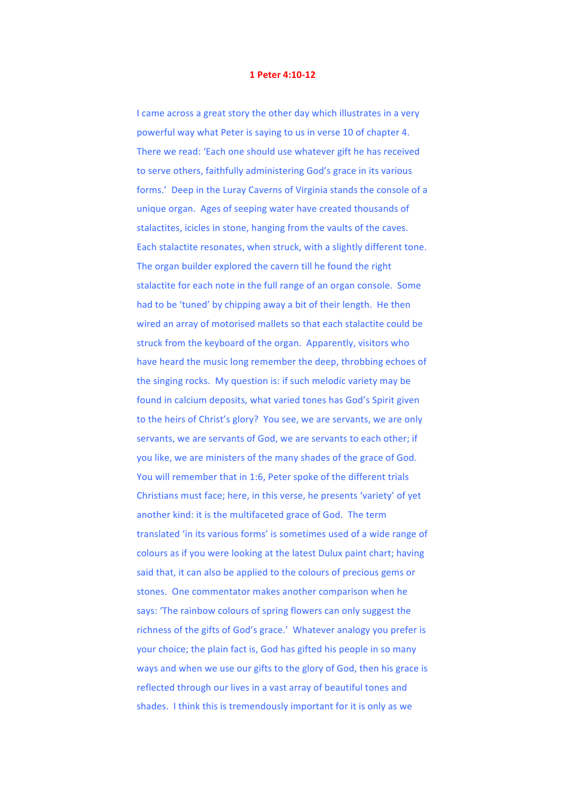## **1 Peter 4:10-12**

I came across a great story the other day which illustrates in a very powerful way what Peter is saying to us in verse 10 of chapter 4. There we read: 'Each one should use whatever gift he has received to serve others, faithfully administering God's grace in its various forms.' Deep in the Luray Caverns of Virginia stands the console of a unique organ. Ages of seeping water have created thousands of stalactites, icicles in stone, hanging from the vaults of the caves. Each stalactite resonates, when struck, with a slightly different tone. The organ builder explored the cavern till he found the right stalactite for each note in the full range of an organ console. Some had to be 'tuned' by chipping away a bit of their length. He then wired an array of motorised mallets so that each stalactite could be struck from the keyboard of the organ. Apparently, visitors who have heard the music long remember the deep, throbbing echoes of the singing rocks. My question is: if such melodic variety may be found in calcium deposits, what varied tones has God's Spirit given to the heirs of Christ's glory? You see, we are servants, we are only servants, we are servants of God, we are servants to each other; if you like, we are ministers of the many shades of the grace of God. You will remember that in 1:6, Peter spoke of the different trials Christians must face; here, in this verse, he presents 'variety' of yet another kind: it is the multifaceted grace of God. The term translated 'in its various forms' is sometimes used of a wide range of colours as if you were looking at the latest Dulux paint chart; having said that, it can also be applied to the colours of precious gems or stones. One commentator makes another comparison when he says: 'The rainbow colours of spring flowers can only suggest the richness of the gifts of God's grace.' Whatever analogy you prefer is your choice; the plain fact is, God has gifted his people in so many ways and when we use our gifts to the glory of God, then his grace is reflected through our lives in a vast array of beautiful tones and shades. I think this is tremendously important for it is only as we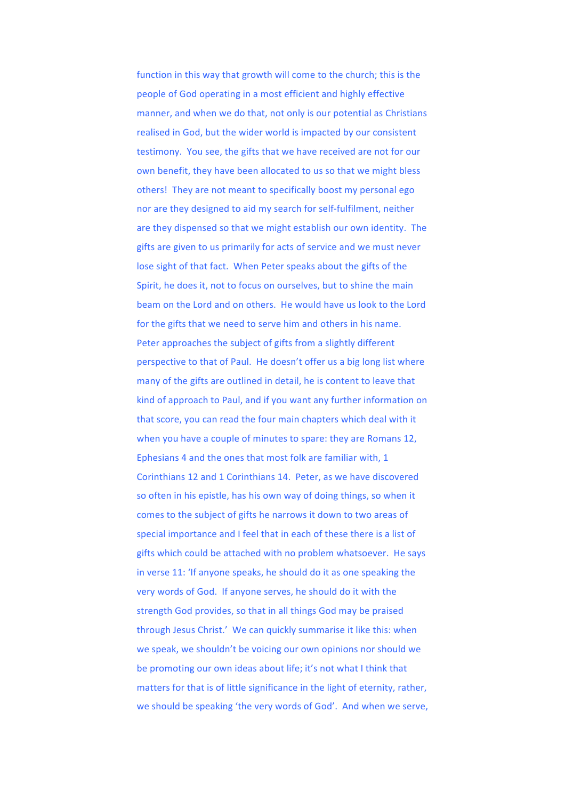function in this way that growth will come to the church; this is the people of God operating in a most efficient and highly effective manner, and when we do that, not only is our potential as Christians realised in God, but the wider world is impacted by our consistent testimony. You see, the gifts that we have received are not for our own benefit, they have been allocated to us so that we might bless others! They are not meant to specifically boost my personal ego nor are they designed to aid my search for self-fulfilment, neither are they dispensed so that we might establish our own identity. The gifts are given to us primarily for acts of service and we must never lose sight of that fact. When Peter speaks about the gifts of the Spirit, he does it, not to focus on ourselves, but to shine the main beam on the Lord and on others. He would have us look to the Lord for the gifts that we need to serve him and others in his name. Peter approaches the subject of gifts from a slightly different perspective to that of Paul. He doesn't offer us a big long list where many of the gifts are outlined in detail, he is content to leave that kind of approach to Paul, and if you want any further information on that score, you can read the four main chapters which deal with it when you have a couple of minutes to spare: they are Romans 12, Ephesians 4 and the ones that most folk are familiar with, 1 Corinthians 12 and 1 Corinthians 14. Peter, as we have discovered so often in his epistle, has his own way of doing things, so when it comes to the subject of gifts he narrows it down to two areas of special importance and I feel that in each of these there is a list of gifts which could be attached with no problem whatsoever. He says in verse 11: 'If anyone speaks, he should do it as one speaking the very words of God. If anyone serves, he should do it with the strength God provides, so that in all things God may be praised through Jesus Christ.' We can quickly summarise it like this: when we speak, we shouldn't be voicing our own opinions nor should we be promoting our own ideas about life; it's not what I think that matters for that is of little significance in the light of eternity, rather, we should be speaking 'the very words of God'. And when we serve,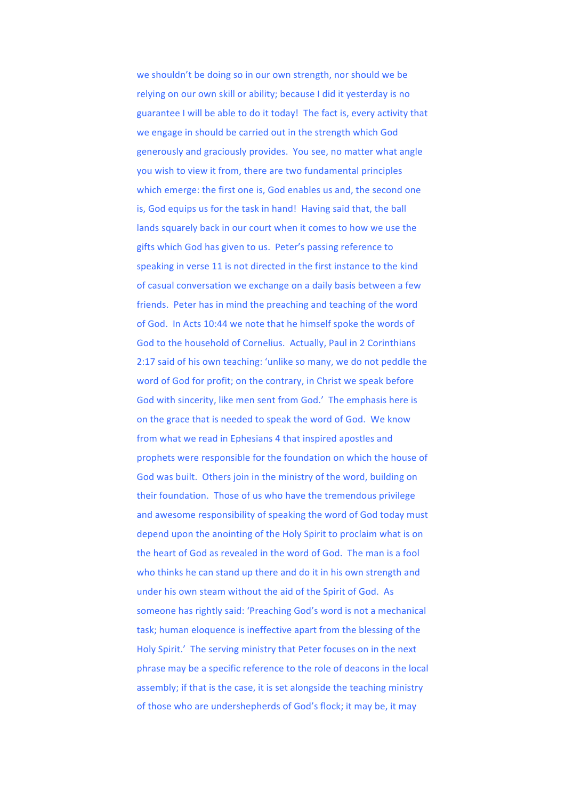we shouldn't be doing so in our own strength, nor should we be relying on our own skill or ability; because I did it yesterday is no guarantee I will be able to do it today! The fact is, every activity that we engage in should be carried out in the strength which God generously and graciously provides. You see, no matter what angle you wish to view it from, there are two fundamental principles which emerge: the first one is, God enables us and, the second one is, God equips us for the task in hand! Having said that, the ball lands squarely back in our court when it comes to how we use the gifts which God has given to us. Peter's passing reference to speaking in verse 11 is not directed in the first instance to the kind of casual conversation we exchange on a daily basis between a few friends. Peter has in mind the preaching and teaching of the word of God. In Acts 10:44 we note that he himself spoke the words of God to the household of Cornelius. Actually, Paul in 2 Corinthians 2:17 said of his own teaching: 'unlike so many, we do not peddle the word of God for profit; on the contrary, in Christ we speak before God with sincerity, like men sent from God.' The emphasis here is on the grace that is needed to speak the word of God. We know from what we read in Ephesians 4 that inspired apostles and prophets were responsible for the foundation on which the house of God was built. Others join in the ministry of the word, building on their foundation. Those of us who have the tremendous privilege and awesome responsibility of speaking the word of God today must depend upon the anointing of the Holy Spirit to proclaim what is on the heart of God as revealed in the word of God. The man is a fool who thinks he can stand up there and do it in his own strength and under his own steam without the aid of the Spirit of God. As someone has rightly said: 'Preaching God's word is not a mechanical task; human eloquence is ineffective apart from the blessing of the Holy Spirit.' The serving ministry that Peter focuses on in the next phrase may be a specific reference to the role of deacons in the local assembly; if that is the case, it is set alongside the teaching ministry of those who are undershepherds of God's flock; it may be, it may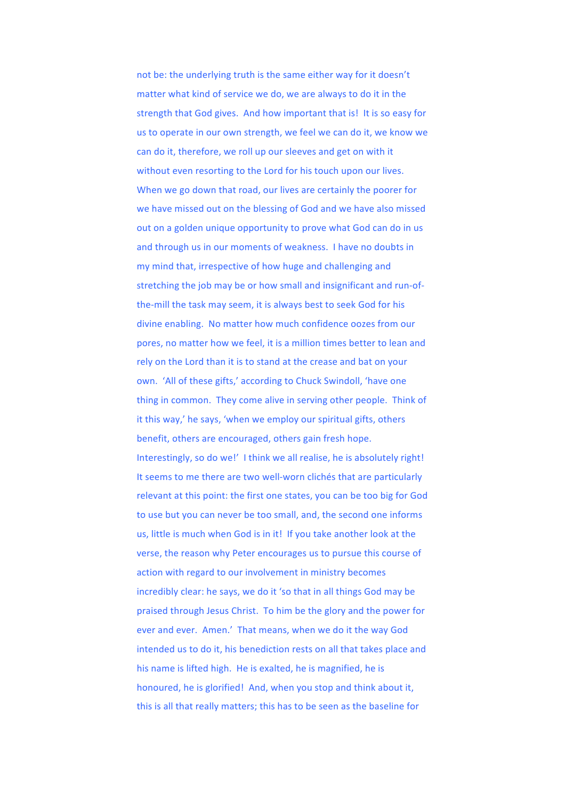not be: the underlying truth is the same either way for it doesn't matter what kind of service we do, we are always to do it in the strength that God gives. And how important that is! It is so easy for us to operate in our own strength, we feel we can do it, we know we can do it, therefore, we roll up our sleeves and get on with it without even resorting to the Lord for his touch upon our lives. When we go down that road, our lives are certainly the poorer for we have missed out on the blessing of God and we have also missed out on a golden unique opportunity to prove what God can do in us and through us in our moments of weakness. I have no doubts in my mind that, irrespective of how huge and challenging and stretching the job may be or how small and insignificant and run-ofthe-mill the task may seem, it is always best to seek God for his divine enabling. No matter how much confidence oozes from our pores, no matter how we feel, it is a million times better to lean and rely on the Lord than it is to stand at the crease and bat on your own. 'All of these gifts,' according to Chuck Swindoll, 'have one thing in common. They come alive in serving other people. Think of it this way,' he says, 'when we employ our spiritual gifts, others benefit, others are encouraged, others gain fresh hope. Interestingly, so do we!' I think we all realise, he is absolutely right! It seems to me there are two well-worn clichés that are particularly relevant at this point: the first one states, you can be too big for God to use but you can never be too small, and, the second one informs us, little is much when God is in it! If you take another look at the verse, the reason why Peter encourages us to pursue this course of action with regard to our involvement in ministry becomes incredibly clear: he says, we do it 'so that in all things God may be praised through Jesus Christ. To him be the glory and the power for ever and ever. Amen.' That means, when we do it the way God intended us to do it, his benediction rests on all that takes place and his name is lifted high. He is exalted, he is magnified, he is honoured, he is glorified! And, when you stop and think about it, this is all that really matters; this has to be seen as the baseline for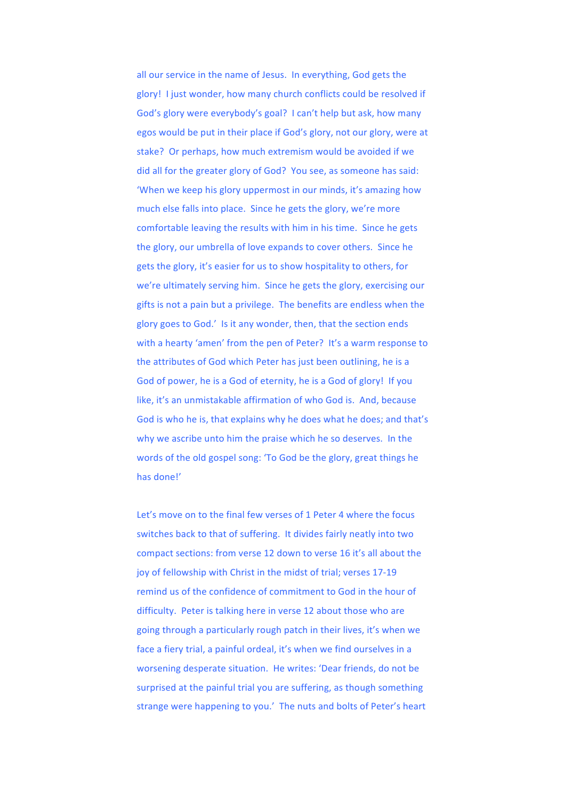all our service in the name of Jesus. In everything, God gets the glory! I just wonder, how many church conflicts could be resolved if God's glory were everybody's goal? I can't help but ask, how many egos would be put in their place if God's glory, not our glory, were at stake? Or perhaps, how much extremism would be avoided if we did all for the greater glory of God? You see, as someone has said: 'When we keep his glory uppermost in our minds, it's amazing how much else falls into place. Since he gets the glory, we're more comfortable leaving the results with him in his time. Since he gets the glory, our umbrella of love expands to cover others. Since he gets the glory, it's easier for us to show hospitality to others, for we're ultimately serving him. Since he gets the glory, exercising our gifts is not a pain but a privilege. The benefits are endless when the glory goes to God.' Is it any wonder, then, that the section ends with a hearty 'amen' from the pen of Peter? It's a warm response to the attributes of God which Peter has just been outlining, he is a God of power, he is a God of eternity, he is a God of glory! If you like, it's an unmistakable affirmation of who God is. And, because God is who he is, that explains why he does what he does: and that's why we ascribe unto him the praise which he so deserves. In the words of the old gospel song: 'To God be the glory, great things he has done!'

Let's move on to the final few verses of 1 Peter 4 where the focus switches back to that of suffering. It divides fairly neatly into two compact sections: from verse 12 down to verse 16 it's all about the joy of fellowship with Christ in the midst of trial; verses 17-19 remind us of the confidence of commitment to God in the hour of difficulty. Peter is talking here in verse 12 about those who are going through a particularly rough patch in their lives, it's when we face a fiery trial, a painful ordeal, it's when we find ourselves in a worsening desperate situation. He writes: 'Dear friends, do not be surprised at the painful trial you are suffering, as though something strange were happening to you.' The nuts and bolts of Peter's heart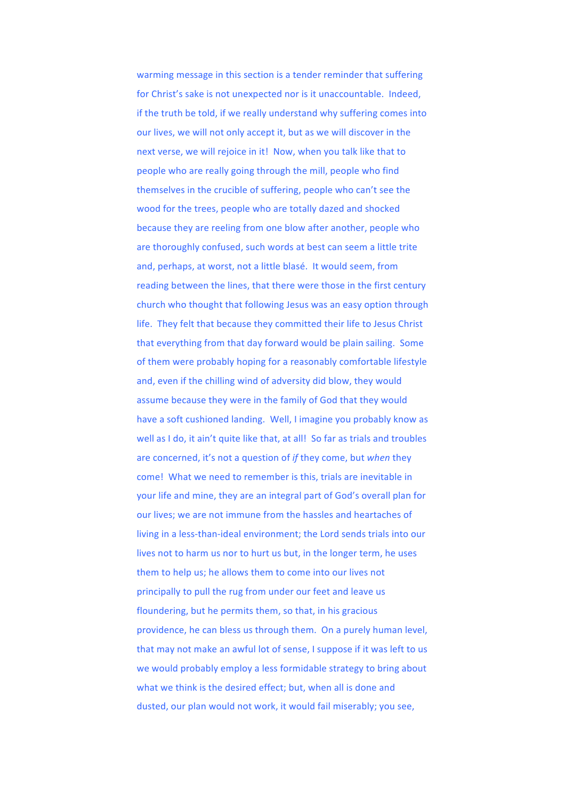warming message in this section is a tender reminder that suffering for Christ's sake is not unexpected nor is it unaccountable. Indeed, if the truth be told, if we really understand why suffering comes into our lives, we will not only accept it, but as we will discover in the next verse, we will rejoice in it! Now, when you talk like that to people who are really going through the mill, people who find themselves in the crucible of suffering, people who can't see the wood for the trees, people who are totally dazed and shocked because they are reeling from one blow after another, people who are thoroughly confused, such words at best can seem a little trite and, perhaps, at worst, not a little blasé. It would seem, from reading between the lines, that there were those in the first century church who thought that following Jesus was an easy option through life. They felt that because they committed their life to Jesus Christ that everything from that day forward would be plain sailing. Some of them were probably hoping for a reasonably comfortable lifestyle and, even if the chilling wind of adversity did blow, they would assume because they were in the family of God that they would have a soft cushioned landing. Well, I imagine you probably know as well as I do, it ain't quite like that, at all! So far as trials and troubles are concerned, it's not a question of *if* they come, but *when* they come! What we need to remember is this, trials are inevitable in your life and mine, they are an integral part of God's overall plan for our lives; we are not immune from the hassles and heartaches of living in a less-than-ideal environment; the Lord sends trials into our lives not to harm us nor to hurt us but, in the longer term, he uses them to help us; he allows them to come into our lives not principally to pull the rug from under our feet and leave us floundering, but he permits them, so that, in his gracious providence, he can bless us through them. On a purely human level, that may not make an awful lot of sense, I suppose if it was left to us we would probably employ a less formidable strategy to bring about what we think is the desired effect; but, when all is done and dusted, our plan would not work, it would fail miserably; you see,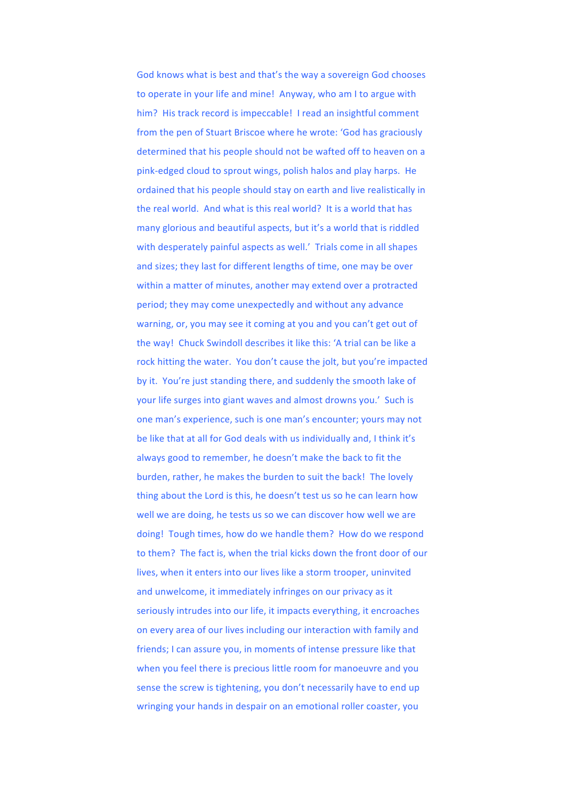God knows what is best and that's the way a sovereign God chooses to operate in your life and mine! Anyway, who am I to argue with him? His track record is impeccable! I read an insightful comment from the pen of Stuart Briscoe where he wrote: 'God has graciously determined that his people should not be wafted off to heaven on a pink-edged cloud to sprout wings, polish halos and play harps. He ordained that his people should stay on earth and live realistically in the real world. And what is this real world? It is a world that has many glorious and beautiful aspects, but it's a world that is riddled with desperately painful aspects as well.' Trials come in all shapes and sizes; they last for different lengths of time, one may be over within a matter of minutes, another may extend over a protracted period; they may come unexpectedly and without any advance warning, or, you may see it coming at you and you can't get out of the way! Chuck Swindoll describes it like this: 'A trial can be like a rock hitting the water. You don't cause the jolt, but you're impacted by it. You're just standing there, and suddenly the smooth lake of your life surges into giant waves and almost drowns you.' Such is one man's experience, such is one man's encounter; yours may not be like that at all for God deals with us individually and. I think it's always good to remember, he doesn't make the back to fit the burden, rather, he makes the burden to suit the back! The lovely thing about the Lord is this, he doesn't test us so he can learn how well we are doing, he tests us so we can discover how well we are doing! Tough times, how do we handle them? How do we respond to them? The fact is, when the trial kicks down the front door of our lives, when it enters into our lives like a storm trooper, uninvited and unwelcome, it immediately infringes on our privacy as it seriously intrudes into our life, it impacts everything, it encroaches on every area of our lives including our interaction with family and friends; I can assure you, in moments of intense pressure like that when you feel there is precious little room for manoeuvre and you sense the screw is tightening, you don't necessarily have to end up wringing your hands in despair on an emotional roller coaster, you